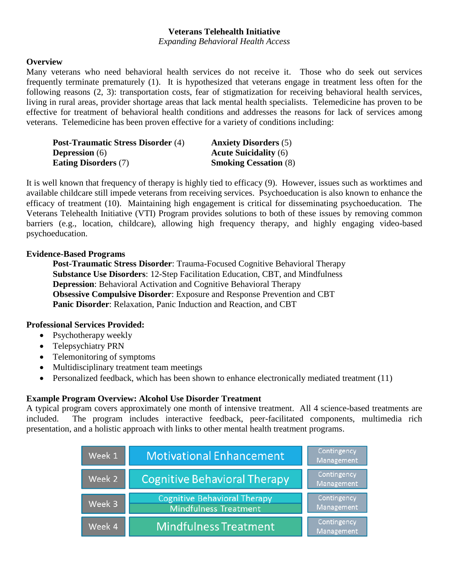# **Veterans Telehealth Initiative**

*Expanding Behavioral Health Access*

### **Overview**

Many veterans who need behavioral health services do not receive it. Those who do seek out services frequently terminate prematurely (1). It is hypothesized that veterans engage in treatment less often for the following reasons (2, 3): transportation costs, fear of stigmatization for receiving behavioral health services, living in rural areas, provider shortage areas that lack mental health specialists. Telemedicine has proven to be effective for treatment of behavioral health conditions and addresses the reasons for lack of services among veterans. Telemedicine has been proven effective for a variety of conditions including:

| <b>Post-Traumatic Stress Disorder (4)</b> | <b>Anxiety Disorders</b> (5) |
|-------------------------------------------|------------------------------|
| <b>Depression</b> (6)                     | <b>Acute Suicidality (6)</b> |
| <b>Eating Disorders (7)</b>               | <b>Smoking Cessation (8)</b> |

It is well known that frequency of therapy is highly tied to efficacy (9). However, issues such as worktimes and available childcare still impede veterans from receiving services. Psychoeducation is also known to enhance the efficacy of treatment (10). Maintaining high engagement is critical for disseminating psychoeducation. The Veterans Telehealth Initiative (VTI) Program provides solutions to both of these issues by removing common barriers (e.g., location, childcare), allowing high frequency therapy, and highly engaging video-based psychoeducation.

### **Evidence-Based Programs**

**Post-Traumatic Stress Disorder**: Trauma-Focused Cognitive Behavioral Therapy **Substance Use Disorders**: 12-Step Facilitation Education, CBT, and Mindfulness **Depression:** Behavioral Activation and Cognitive Behavioral Therapy **Obsessive Compulsive Disorder**: Exposure and Response Prevention and CBT **Panic Disorder**: Relaxation, Panic Induction and Reaction, and CBT

# **Professional Services Provided:**

- Psychotherapy weekly
- Telepsychiatry PRN
- Telemonitoring of symptoms
- Multidisciplinary treatment team meetings
- Personalized feedback, which has been shown to enhance electronically mediated treatment (11)

# **Example Program Overview: Alcohol Use Disorder Treatment**

A typical program covers approximately one month of intensive treatment. All 4 science-based treatments are included. The program includes interactive feedback, peer-facilitated components, multimedia rich presentation, and a holistic approach with links to other mental health treatment programs.

| Week 1            | <b>Motivational Enhancement</b>                                     | Contingency<br>Management |
|-------------------|---------------------------------------------------------------------|---------------------------|
| Week 2            | <b>Cognitive Behavioral Therapy</b>                                 | Contingency<br>Management |
| Week 3            | <b>Cognitive Behavioral Therapy</b><br><b>Mindfulness Treatment</b> | Contingency<br>Management |
| Week <sub>4</sub> | Mindfulness Treatment                                               | Contingency<br>Management |